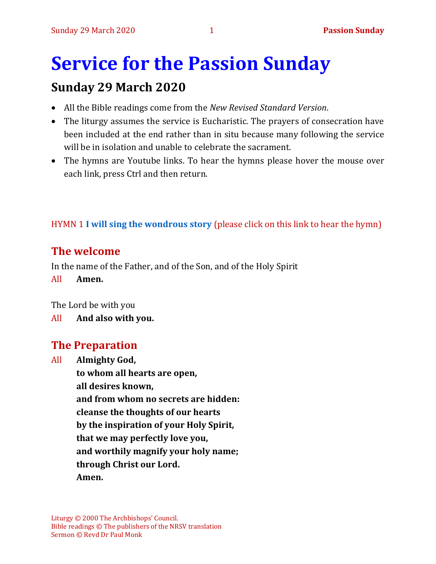# **Service for the Passion Sunday**

# **Sunday 29 March 2020**

- All the Bible readings come from the *New Revised Standard Version*.
- The liturgy assumes the service is Eucharistic. The prayers of consecration have been included at the end rather than in situ because many following the service will be in isolation and unable to celebrate the sacrament.
- The hymns are Youtube links. To hear the hymns please hover the mouse over each link, press Ctrl and then return.

#### HYMN 1 **[I will sing the wondrous story](https://www.youtube.com/watch?v=mv8wo-t6C1I)** (please click on this link to hear the hymn)

# **The welcome**

In the name of the Father, and of the Son, and of the Holy Spirit

All **Amen.**

The Lord be with you

All **And also with you.**

# **The Preparation**

All **Almighty God, to whom all hearts are open, all desires known, and from whom no secrets are hidden: cleanse the thoughts of our hearts by the inspiration of your Holy Spirit, that we may perfectly love you, and worthily magnify your holy name; through Christ our Lord. Amen.**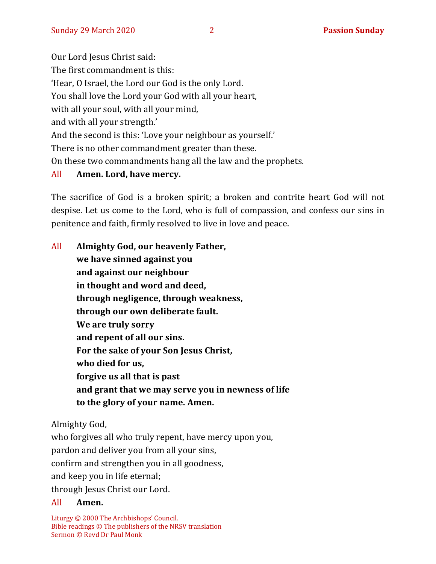Our Lord Jesus Christ said:

The first commandment is this:

'Hear, O Israel, the Lord our God is the only Lord.

You shall love the Lord your God with all your heart,

with all your soul, with all your mind,

and with all your strength.'

And the second is this: 'Love your neighbour as yourself.'

There is no other commandment greater than these.

On these two commandments hang all the law and the prophets.

#### All **Amen. Lord, have mercy.**

The sacrifice of God is a broken spirit; a broken and contrite heart God will not despise. Let us come to the Lord, who is full of compassion, and confess our sins in penitence and faith, firmly resolved to live in love and peace.

| All | Almighty God, our heavenly Father,                 |
|-----|----------------------------------------------------|
|     | we have sinned against you                         |
|     | and against our neighbour                          |
|     | in thought and word and deed,                      |
|     | through negligence, through weakness,              |
|     | through our own deliberate fault.                  |
|     | We are truly sorry                                 |
|     | and repent of all our sins.                        |
|     | For the sake of your Son Jesus Christ,             |
|     | who died for us,                                   |
|     | forgive us all that is past                        |
|     | and grant that we may serve you in newness of life |
|     | to the glory of your name. Amen.                   |
|     |                                                    |

Almighty God,

who forgives all who truly repent, have mercy upon you,

pardon and deliver you from all your sins,

confirm and strengthen you in all goodness,

and keep you in life eternal;

through Jesus Christ our Lord.

#### All **Amen.**

Liturgy © 2000 The Archbishops' Council. Bible readings © The publishers of the NRSV translation Sermon © Revd Dr Paul Monk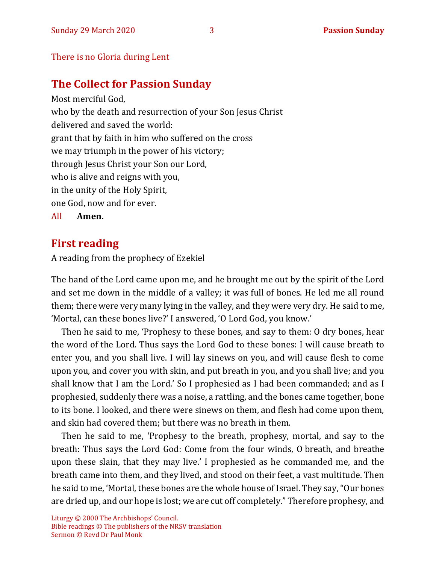There is no Gloria during Lent

# **The Collect for Passion Sunday**

Most merciful God, who by the death and resurrection of your Son Jesus Christ delivered and saved the world: grant that by faith in him who suffered on the cross we may triumph in the power of his victory; through Jesus Christ your Son our Lord, who is alive and reigns with you, in the unity of the Holy Spirit, one God, now and for ever. All **Amen.**

## **First reading**

A reading from the prophecy of Ezekiel

The hand of the Lord came upon me, and he brought me out by the spirit of the Lord and set me down in the middle of a valley; it was full of bones. He led me all round them; there were very many lying in the valley, and they were very dry. He said to me, 'Mortal, can these bones live?' I answered, 'O Lord God, you know.'

Then he said to me, 'Prophesy to these bones, and say to them: O dry bones, hear the word of the Lord. Thus says the Lord God to these bones: I will cause breath to enter you, and you shall live. I will lay sinews on you, and will cause flesh to come upon you, and cover you with skin, and put breath in you, and you shall live; and you shall know that I am the Lord.' So I prophesied as I had been commanded; and as I prophesied, suddenly there was a noise, a rattling, and the bones came together, bone to its bone. I looked, and there were sinews on them, and flesh had come upon them, and skin had covered them; but there was no breath in them.

Then he said to me, 'Prophesy to the breath, prophesy, mortal, and say to the breath: Thus says the Lord God: Come from the four winds, O breath, and breathe upon these slain, that they may live.' I prophesied as he commanded me, and the breath came into them, and they lived, and stood on their feet, a vast multitude. Then he said to me, 'Mortal, these bones are the whole house of Israel. They say, "Our bones are dried up, and our hope is lost; we are cut off completely." Therefore prophesy, and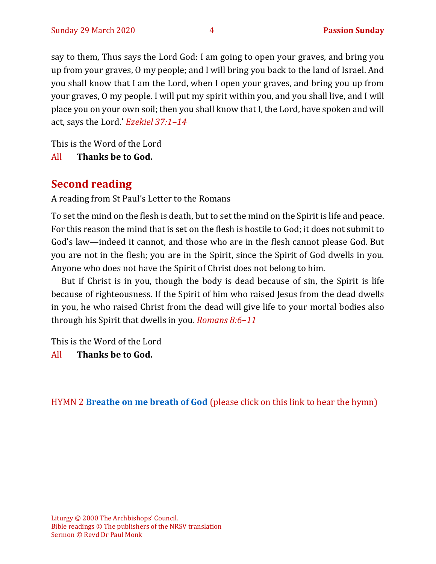say to them, Thus says the Lord God: I am going to open your graves, and bring you up from your graves, O my people; and I will bring you back to the land of Israel. And you shall know that I am the Lord, when I open your graves, and bring you up from your graves, O my people. I will put my spirit within you, and you shall live, and I will place you on your own soil; then you shall know that I, the Lord, have spoken and will act, says the Lord.' *Ezekiel 37:1–14*

This is the Word of the Lord

All **Thanks be to God.**

# **Second reading**

A reading from St Paul's Letter to the Romans

To set the mind on the flesh is death, but to set the mind on the Spirit is life and peace. For this reason the mind that is set on the flesh is hostile to God; it does not submit to God's law—indeed it cannot, and those who are in the flesh cannot please God. But you are not in the flesh; you are in the Spirit, since the Spirit of God dwells in you. Anyone who does not have the Spirit of Christ does not belong to him.

But if Christ is in you, though the body is dead because of sin, the Spirit is life because of righteousness. If the Spirit of him who raised Jesus from the dead dwells in you, he who raised Christ from the dead will give life to your mortal bodies also through his Spirit that dwells in you. *Romans 8:6–11*

This is the Word of the Lord All **Thanks be to God.**

HYMN 2 **[Breathe on me breath of God](https://www.youtube.com/watch?v=M5keJHZdWYM)** (please click on this link to hear the hymn)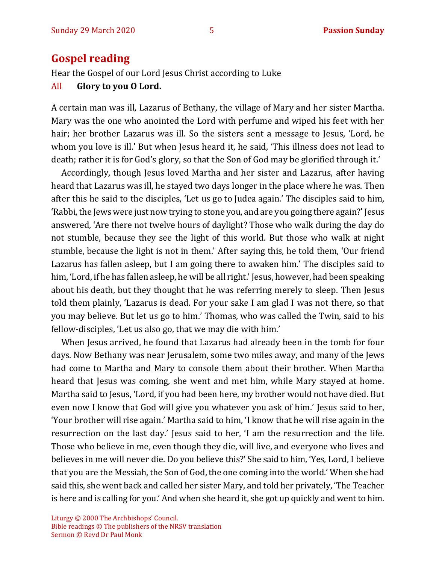## **Gospel reading**

Hear the Gospel of our Lord Jesus Christ according to Luke

#### All **Glory to you O Lord.**

A certain man was ill, Lazarus of Bethany, the village of Mary and her sister Martha. Mary was the one who anointed the Lord with perfume and wiped his feet with her hair; her brother Lazarus was ill. So the sisters sent a message to Jesus, 'Lord, he whom you love is ill.' But when Jesus heard it, he said, 'This illness does not lead to death; rather it is for God's glory, so that the Son of God may be glorified through it.'

Accordingly, though Jesus loved Martha and her sister and Lazarus, after having heard that Lazarus was ill, he stayed two days longer in the place where he was. Then after this he said to the disciples, 'Let us go to Judea again.' The disciples said to him, 'Rabbi, the Jews were just now trying to stone you, and are you going there again?' Jesus answered, 'Are there not twelve hours of daylight? Those who walk during the day do not stumble, because they see the light of this world. But those who walk at night stumble, because the light is not in them.' After saying this, he told them, 'Our friend Lazarus has fallen asleep, but I am going there to awaken him.' The disciples said to him, 'Lord, if he has fallen asleep, he will be all right.' Jesus, however, had been speaking about his death, but they thought that he was referring merely to sleep. Then Jesus told them plainly, 'Lazarus is dead. For your sake I am glad I was not there, so that you may believe. But let us go to him.' Thomas, who was called the Twin, said to his fellow-disciples, 'Let us also go, that we may die with him.'

When Jesus arrived, he found that Lazarus had already been in the tomb for four days. Now Bethany was near Jerusalem, some two miles away, and many of the Jews had come to Martha and Mary to console them about their brother. When Martha heard that Jesus was coming, she went and met him, while Mary stayed at home. Martha said to Jesus, 'Lord, if you had been here, my brother would not have died. But even now I know that God will give you whatever you ask of him.' Jesus said to her, 'Your brother will rise again.' Martha said to him, 'I know that he will rise again in the resurrection on the last day.' Jesus said to her, 'I am the resurrection and the life. Those who believe in me, even though they die, will live, and everyone who lives and believes in me will never die. Do you believe this?' She said to him, 'Yes, Lord, I believe that you are the Messiah, the Son of God, the one coming into the world.' When she had said this, she went back and called her sister Mary, and told her privately, 'The Teacher is here and is calling for you.' And when she heard it, she got up quickly and went to him.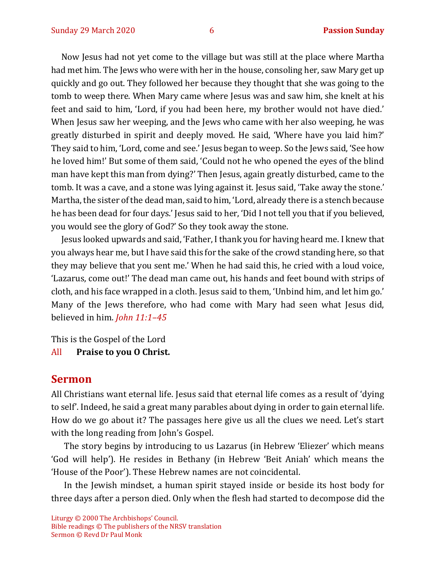Now Jesus had not yet come to the village but was still at the place where Martha had met him. The Jews who were with her in the house, consoling her, saw Mary get up quickly and go out. They followed her because they thought that she was going to the tomb to weep there. When Mary came where Jesus was and saw him, she knelt at his feet and said to him, 'Lord, if you had been here, my brother would not have died.' When Jesus saw her weeping, and the Jews who came with her also weeping, he was greatly disturbed in spirit and deeply moved. He said, 'Where have you laid him?' They said to him, 'Lord, come and see.' Jesus began to weep. So the Jews said, 'See how he loved him!' But some of them said, 'Could not he who opened the eyes of the blind man have kept this man from dying?' Then Jesus, again greatly disturbed, came to the tomb. It was a cave, and a stone was lying against it. Jesus said, 'Take away the stone.' Martha, the sister of the dead man, said to him, 'Lord, already there is a stench because he has been dead for four days.' Jesus said to her, 'Did I not tell you that if you believed, you would see the glory of God?' So they took away the stone.

Jesus looked upwards and said, 'Father, I thank you for having heard me. I knew that you always hear me, but I have said this for the sake of the crowd standing here, so that they may believe that you sent me.' When he had said this, he cried with a loud voice, 'Lazarus, come out!' The dead man came out, his hands and feet bound with strips of cloth, and his face wrapped in a cloth. Jesus said to them, 'Unbind him, and let him go.' Many of the Jews therefore, who had come with Mary had seen what Jesus did, believed in him. *John 11:1–45*

This is the Gospel of the Lord All **Praise to you O Christ.** 

#### **Sermon**

All Christians want eternal life. Jesus said that eternal life comes as a result of 'dying to self'. Indeed, he said a great many parables about dying in order to gain eternal life. How do we go about it? The passages here give us all the clues we need. Let's start with the long reading from John's Gospel.

The story begins by introducing to us Lazarus (in Hebrew 'Eliezer' which means 'God will help'). He resides in Bethany (in Hebrew 'Beit Aniah' which means the 'House of the Poor'). These Hebrew names are not coincidental.

In the Jewish mindset, a human spirit stayed inside or beside its host body for three days after a person died. Only when the flesh had started to decompose did the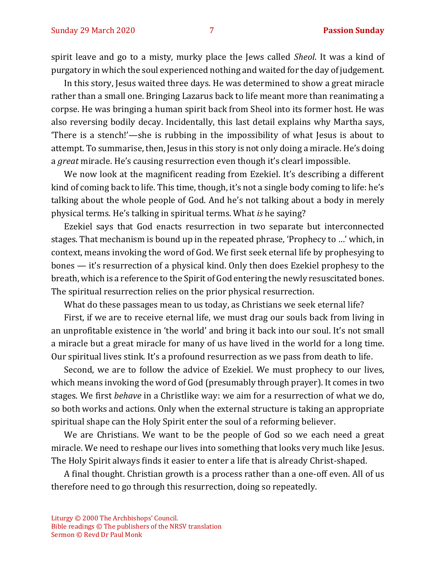spirit leave and go to a misty, murky place the Jews called *Sheol*. It was a kind of purgatory in which the soul experienced nothing and waited for the day of judgement.

In this story, Jesus waited three days. He was determined to show a great miracle rather than a small one. Bringing Lazarus back to life meant more than reanimating a corpse. He was bringing a human spirit back from Sheol into its former host. He was also reversing bodily decay. Incidentally, this last detail explains why Martha says, 'There is a stench!'—she is rubbing in the impossibility of what Jesus is about to attempt. To summarise, then, Jesus in this story is not only doing a miracle. He's doing a *great* miracle. He's causing resurrection even though it's clearl impossible.

We now look at the magnificent reading from Ezekiel. It's describing a different kind of coming back to life. This time, though, it's not a single body coming to life: he's talking about the whole people of God. And he's not talking about a body in merely physical terms. He's talking in spiritual terms. What *is* he saying?

Ezekiel says that God enacts resurrection in two separate but interconnected stages. That mechanism is bound up in the repeated phrase, 'Prophecy to …' which, in context, means invoking the word of God. We first seek eternal life by prophesying to bones — it's resurrection of a physical kind. Only then does Ezekiel prophesy to the breath, which is a reference to the Spirit of God entering the newly resuscitated bones. The spiritual resurrection relies on the prior physical resurrection.

What do these passages mean to us today, as Christians we seek eternal life?

First, if we are to receive eternal life, we must drag our souls back from living in an unprofitable existence in 'the world' and bring it back into our soul. It's not small a miracle but a great miracle for many of us have lived in the world for a long time. Our spiritual lives stink. It's a profound resurrection as we pass from death to life.

Second, we are to follow the advice of Ezekiel. We must prophecy to our lives, which means invoking the word of God (presumably through prayer). It comes in two stages. We first *behave* in a Christlike way: we aim for a resurrection of what we do, so both works and actions. Only when the external structure is taking an appropriate spiritual shape can the Holy Spirit enter the soul of a reforming believer.

We are Christians. We want to be the people of God so we each need a great miracle. We need to reshape our lives into something that looks very much like Jesus. The Holy Spirit always finds it easier to enter a life that is already Christ-shaped.

A final thought. Christian growth is a process rather than a one-off even. All of us therefore need to go through this resurrection, doing so repeatedly.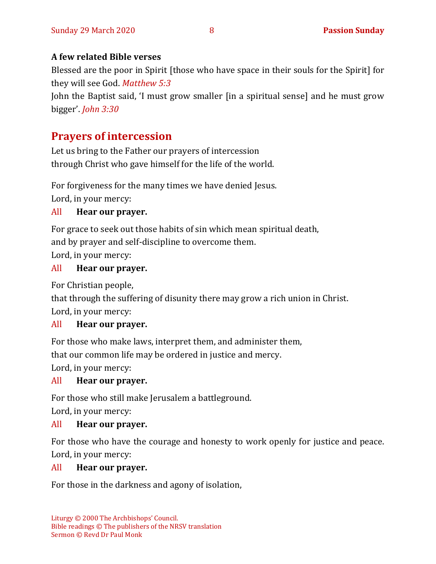#### **A few related Bible verses**

Blessed are the poor in Spirit [those who have space in their souls for the Spirit] for they will see God. *Matthew 5:3*

John the Baptist said, 'I must grow smaller [in a spiritual sense] and he must grow bigger'. *John 3:30*

# **Prayers of intercession**

Let us bring to the Father our prayers of intercession through Christ who gave himself for the life of the world.

For forgiveness for the many times we have denied Jesus.

Lord, in your mercy:

#### All **Hear our prayer.**

For grace to seek out those habits of sin which mean spiritual death,

and by prayer and self-discipline to overcome them.

Lord, in your mercy:

#### All **Hear our prayer.**

For Christian people,

that through the suffering of disunity there may grow a rich union in Christ. Lord, in your mercy:

#### All **Hear our prayer.**

For those who make laws, interpret them, and administer them,

that our common life may be ordered in justice and mercy.

Lord, in your mercy:

#### All **Hear our prayer.**

For those who still make Jerusalem a battleground.

Lord, in your mercy:

#### All **Hear our prayer.**

For those who have the courage and honesty to work openly for justice and peace. Lord, in your mercy:

#### All **Hear our prayer.**

For those in the darkness and agony of isolation,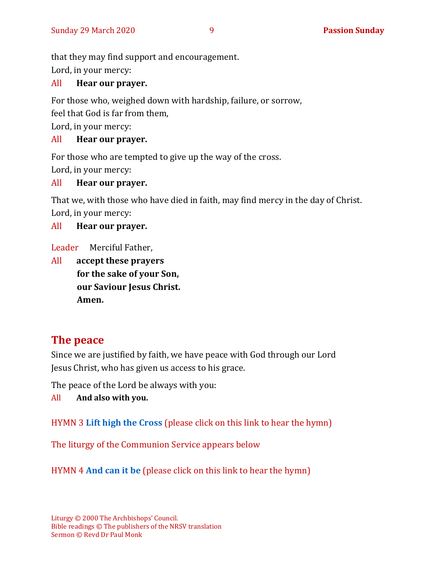that they may find support and encouragement.

Lord, in your mercy:

#### All **Hear our prayer.**

For those who, weighed down with hardship, failure, or sorrow,

feel that God is far from them,

Lord, in your mercy:

#### All **Hear our prayer.**

For those who are tempted to give up the way of the cross.

Lord, in your mercy:

#### All **Hear our prayer.**

That we, with those who have died in faith, may find mercy in the day of Christ. Lord, in your mercy:

#### All **Hear our prayer.**

Leader Merciful Father,

All **accept these prayers for the sake of your Son, our Saviour Jesus Christ. Amen.**

# **The peace**

Since we are justified by faith, we have peace with God through our Lord Jesus Christ, who has given us access to his grace.

The peace of the Lord be always with you:

All **And also with you.**

HYMN 3 **[Lift high the Cross](https://www.youtube.com/watch?v=GbcBXYP4AlE)** (please click on this link to hear the hymn)

The liturgy of the Communion Service appears below

HYMN 4 **[And can it be](https://www.youtube.com/watch?v=uzDes9IVdzg)** (please click on this link to hear the hymn)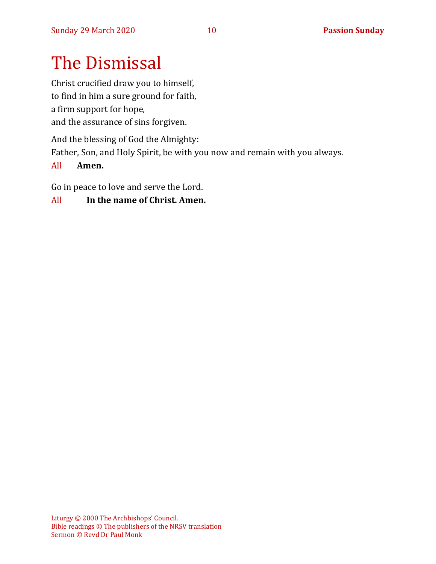# The Dismissal

Christ crucified draw you to himself, to find in him a sure ground for faith, a firm support for hope, and the assurance of sins forgiven.

And the blessing of God the Almighty: Father, Son, and Holy Spirit, be with you now and remain with you always.

#### All **Amen.**

Go in peace to love and serve the Lord.

#### All **In the name of Christ. Amen.**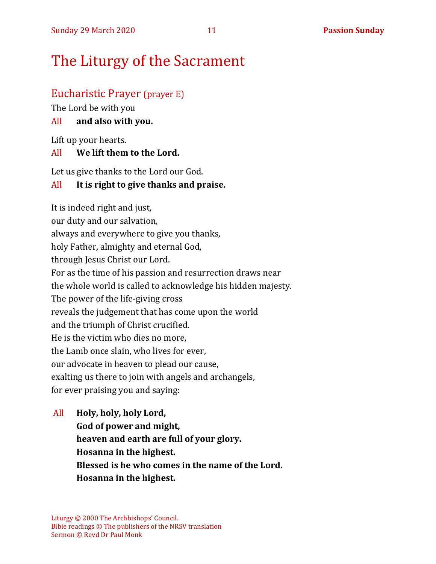#### Eucharistic Prayer (prayer E)

The Lord be with you

#### All **and also with you.**

Lift up your hearts.

#### All **We lift them to the Lord.**

Let us give thanks to the Lord our God.

#### All **It is right to give thanks and praise.**

It is indeed right and just, our duty and our salvation, always and everywhere to give you thanks, holy Father, almighty and eternal God, through Jesus Christ our Lord. For as the time of his passion and resurrection draws near the whole world is called to acknowledge his hidden majesty. The power of the life-giving cross reveals the judgement that has come upon the world and the triumph of Christ crucified. He is the victim who dies no more, the Lamb once slain, who lives for ever, our advocate in heaven to plead our cause, exalting us there to join with angels and archangels, for ever praising you and saying:

All **Holy, holy, holy Lord, God of power and might, heaven and earth are full of your glory. Hosanna in the highest. Blessed is he who comes in the name of the Lord. Hosanna in the highest.**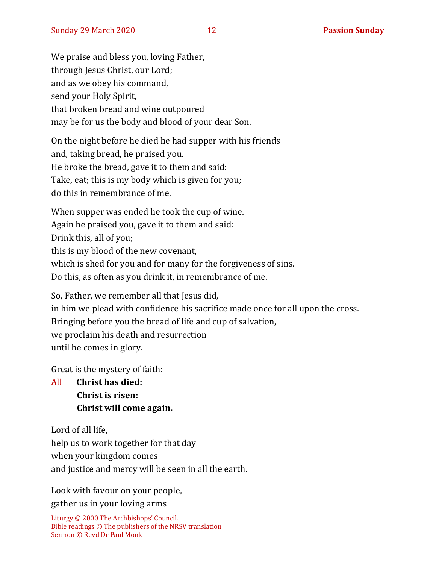We praise and bless you, loving Father, through Jesus Christ, our Lord; and as we obey his command, send your Holy Spirit, that broken bread and wine outpoured may be for us the body and blood of your dear Son.

On the night before he died he had supper with his friends and, taking bread, he praised you. He broke the bread, gave it to them and said: Take, eat; this is my body which is given for you; do this in remembrance of me.

When supper was ended he took the cup of wine. Again he praised you, gave it to them and said: Drink this, all of you; this is my blood of the new covenant, which is shed for you and for many for the forgiveness of sins. Do this, as often as you drink it, in remembrance of me.

So, Father, we remember all that Jesus did, in him we plead with confidence his sacrifice made once for all upon the cross. Bringing before you the bread of life and cup of salvation, we proclaim his death and resurrection until he comes in glory.

Great is the mystery of faith:

All **Christ has died: Christ is risen: Christ will come again.**

Lord of all life,

help us to work together for that day when your kingdom comes

and justice and mercy will be seen in all the earth.

Look with favour on your people,

gather us in your loving arms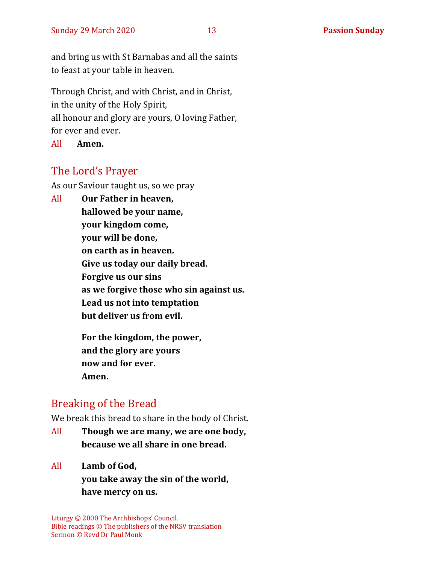and bring us with St Barnabas and all the saints to feast at your table in heaven.

Through Christ, and with Christ, and in Christ, in the unity of the Holy Spirit, all honour and glory are yours, O loving Father, for ever and ever.

All **Amen.**

# The Lord's Prayer

As our Saviour taught us, so we pray

All **Our Father in heaven, hallowed be your name, your kingdom come, your will be done, on earth as in heaven. Give us today our daily bread. Forgive us our sins as we forgive those who sin against us. Lead us not into temptation but deliver us from evil.**

> **For the kingdom, the power, and the glory are yours now and for ever. Amen.**

# Breaking of the Bread

We break this bread to share in the body of Christ.

- All **Though we are many, we are one body, because we all share in one bread.**
- All **Lamb of God,**

**you take away the sin of the world, have mercy on us.**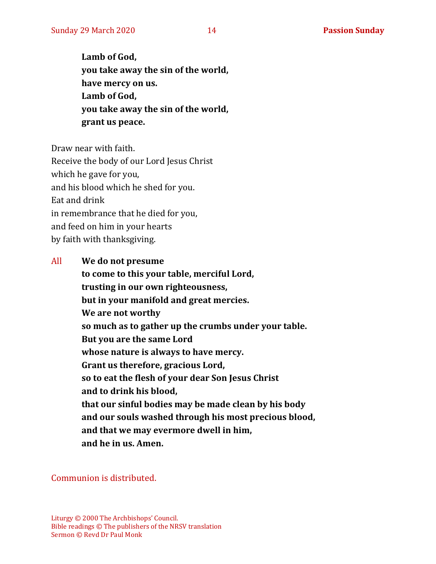**Lamb of God, you take away the sin of the world, have mercy on us. Lamb of God, you take away the sin of the world, grant us peace.**

Draw near with faith.

Receive the body of our Lord Jesus Christ

which he gave for you,

and his blood which he shed for you.

Eat and drink

in remembrance that he died for you,

and feed on him in your hearts

by faith with thanksgiving.

All **We do not presume**

**to come to this your table, merciful Lord, trusting in our own righteousness, but in your manifold and great mercies. We are not worthy so much as to gather up the crumbs under your table. But you are the same Lord whose nature is always to have mercy. Grant us therefore, gracious Lord, so to eat the flesh of your dear Son Jesus Christ and to drink his blood, that our sinful bodies may be made clean by his body and our souls washed through his most precious blood, and that we may evermore dwell in him, and he in us. Amen.**

Communion is distributed.